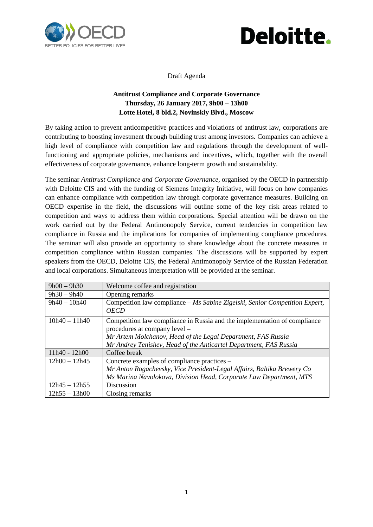



Draft Agenda

## **Antitrust Compliance and Corporate Governance Thursday, 26 January 2017, 9h00 – 13h00 Lotte Hotel, 8 bld.2, Novinskiy Blvd., Moscow**

By taking action to prevent anticompetitive practices and violations of antitrust law, corporations are contributing to boosting investment through building trust among investors. Companies can achieve a high level of compliance with competition law and regulations through the development of wellfunctioning and appropriate policies, mechanisms and incentives, which, together with the overall effectiveness of corporate governance, enhance long-term growth and sustainability.

The seminar *Antitrust Compliance and Corporate Governance,* organised by the OECD in partnership with Deloitte CIS and with the funding of Siemens Integrity Initiative, will focus on how companies can enhance compliance with competition law through corporate governance measures. Building on OECD expertise in the field, the discussions will outline some of the key risk areas related to competition and ways to address them within corporations. Special attention will be drawn on the work carried out by the Federal Antimonopoly Service, current tendencies in competition law compliance in Russia and the implications for companies of implementing compliance procedures. The seminar will also provide an opportunity to share knowledge about the concrete measures in competition compliance within Russian companies. The discussions will be supported by expert speakers from the OECD, Deloitte CIS, the Federal Antimonopoly Service of the Russian Federation and local corporations. Simultaneous interpretation will be provided at the seminar.

| $9h00 - 9h30$   | Welcome coffee and registration                                                                                                                                                                                                                 |
|-----------------|-------------------------------------------------------------------------------------------------------------------------------------------------------------------------------------------------------------------------------------------------|
| $9h30 - 9h40$   | Opening remarks                                                                                                                                                                                                                                 |
| $9h40 - 10h40$  | Competition law compliance – Ms Sabine Zigelski, Senior Competition Expert,<br><i><b>OECD</b></i>                                                                                                                                               |
| $10h40 - 11h40$ | Competition law compliance in Russia and the implementation of compliance<br>procedures at company level –<br>Mr Artem Molchanov, Head of the Legal Department, FAS Russia<br>Mr Andrey Tenishev, Head of the Anticartel Department, FAS Russia |
| 11h40 - 12h00   | Coffee break                                                                                                                                                                                                                                    |
| $12h00 - 12h45$ | Concrete examples of compliance practices –<br>Mr Anton Rogachevsky, Vice President-Legal Affairs, Baltika Brewery Co<br>Ms Marina Navolokova, Division Head, Corporate Law Department, MTS                                                     |
| $12h45 - 12h55$ | <b>Discussion</b>                                                                                                                                                                                                                               |
| $12h55 - 13h00$ | Closing remarks                                                                                                                                                                                                                                 |